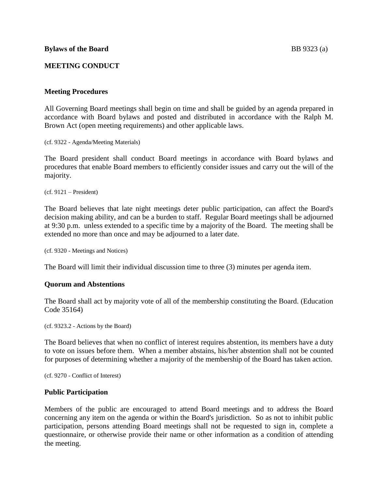## **MEETING CONDUCT**

## **Meeting Procedures**

All Governing Board meetings shall begin on time and shall be guided by an agenda prepared in accordance with Board bylaws and posted and distributed in accordance with the Ralph M. Brown Act (open meeting requirements) and other applicable laws.

(cf. 9322 - Agenda/Meeting Materials)

The Board president shall conduct Board meetings in accordance with Board bylaws and procedures that enable Board members to efficiently consider issues and carry out the will of the majority.

 $(cf. 9121 - President)$ 

The Board believes that late night meetings deter public participation, can affect the Board's decision making ability, and can be a burden to staff. Regular Board meetings shall be adjourned at 9:30 p.m. unless extended to a specific time by a majority of the Board. The meeting shall be extended no more than once and may be adjourned to a later date.

(cf. 9320 - Meetings and Notices)

The Board will limit their individual discussion time to three (3) minutes per agenda item.

## **Quorum and Abstentions**

The Board shall act by majority vote of all of the membership constituting the Board. (Education Code 35164)

(cf. 9323.2 - Actions by the Board)

The Board believes that when no conflict of interest requires abstention, its members have a duty to vote on issues before them. When a member abstains, his/her abstention shall not be counted for purposes of determining whether a majority of the membership of the Board has taken action.

(cf. 9270 - Conflict of Interest)

## **Public Participation**

Members of the public are encouraged to attend Board meetings and to address the Board concerning any item on the agenda or within the Board's jurisdiction. So as not to inhibit public participation, persons attending Board meetings shall not be requested to sign in, complete a questionnaire, or otherwise provide their name or other information as a condition of attending the meeting.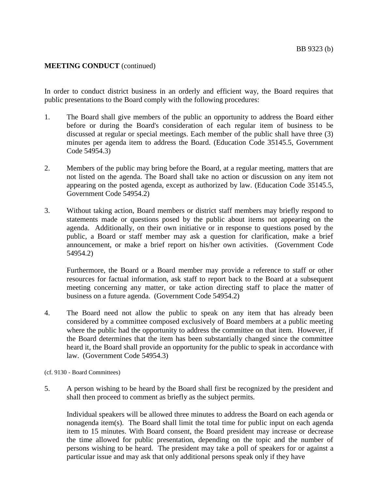In order to conduct district business in an orderly and efficient way, the Board requires that public presentations to the Board comply with the following procedures:

- 1. The Board shall give members of the public an opportunity to address the Board either before or during the Board's consideration of each regular item of business to be discussed at regular or special meetings. Each member of the public shall have three (3) minutes per agenda item to address the Board. (Education Code 35145.5, Government Code 54954.3)
- 2. Members of the public may bring before the Board, at a regular meeting, matters that are not listed on the agenda. The Board shall take no action or discussion on any item not appearing on the posted agenda, except as authorized by law. (Education Code 35145.5, Government Code 54954.2)
- 3. Without taking action, Board members or district staff members may briefly respond to statements made or questions posed by the public about items not appearing on the agenda. Additionally, on their own initiative or in response to questions posed by the public, a Board or staff member may ask a question for clarification, make a brief announcement, or make a brief report on his/her own activities. (Government Code 54954.2)

Furthermore, the Board or a Board member may provide a reference to staff or other resources for factual information, ask staff to report back to the Board at a subsequent meeting concerning any matter, or take action directing staff to place the matter of business on a future agenda. (Government Code 54954.2)

4. The Board need not allow the public to speak on any item that has already been considered by a committee composed exclusively of Board members at a public meeting where the public had the opportunity to address the committee on that item. However, if the Board determines that the item has been substantially changed since the committee heard it, the Board shall provide an opportunity for the public to speak in accordance with law. (Government Code 54954.3)

#### (cf. 9130 - Board Committees)

5. A person wishing to be heard by the Board shall first be recognized by the president and shall then proceed to comment as briefly as the subject permits.

Individual speakers will be allowed three minutes to address the Board on each agenda or nonagenda item(s). The Board shall limit the total time for public input on each agenda item to 15 minutes. With Board consent, the Board president may increase or decrease the time allowed for public presentation, depending on the topic and the number of persons wishing to be heard. The president may take a poll of speakers for or against a particular issue and may ask that only additional persons speak only if they have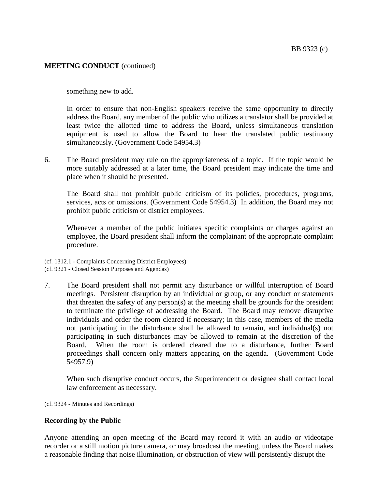something new to add.

In order to ensure that non-English speakers receive the same opportunity to directly address the Board, any member of the public who utilizes a translator shall be provided at least twice the allotted time to address the Board, unless simultaneous translation equipment is used to allow the Board to hear the translated public testimony simultaneously. (Government Code 54954.3)

6. The Board president may rule on the appropriateness of a topic. If the topic would be more suitably addressed at a later time, the Board president may indicate the time and place when it should be presented.

The Board shall not prohibit public criticism of its policies, procedures, programs, services, acts or omissions. (Government Code 54954.3) In addition, the Board may not prohibit public criticism of district employees.

Whenever a member of the public initiates specific complaints or charges against an employee, the Board president shall inform the complainant of the appropriate complaint procedure.

(cf. 1312.1 - Complaints Concerning District Employees) (cf. 9321 - Closed Session Purposes and Agendas)

7. The Board president shall not permit any disturbance or willful interruption of Board meetings. Persistent disruption by an individual or group, or any conduct or statements that threaten the safety of any person(s) at the meeting shall be grounds for the president to terminate the privilege of addressing the Board. The Board may remove disruptive individuals and order the room cleared if necessary; in this case, members of the media not participating in the disturbance shall be allowed to remain, and individual(s) not participating in such disturbances may be allowed to remain at the discretion of the Board. When the room is ordered cleared due to a disturbance, further Board proceedings shall concern only matters appearing on the agenda. (Government Code 54957.9)

When such disruptive conduct occurs, the Superintendent or designee shall contact local law enforcement as necessary.

(cf. 9324 - Minutes and Recordings)

## **Recording by the Public**

Anyone attending an open meeting of the Board may record it with an audio or videotape recorder or a still motion picture camera, or may broadcast the meeting, unless the Board makes a reasonable finding that noise illumination, or obstruction of view will persistently disrupt the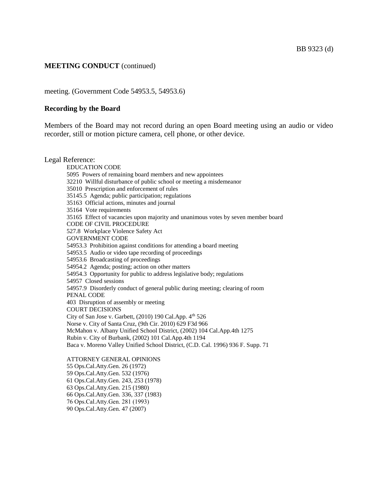meeting. (Government Code 54953.5, 54953.6)

#### **Recording by the Board**

Members of the Board may not record during an open Board meeting using an audio or video recorder, still or motion picture camera, cell phone, or other device.

Legal Reference: EDUCATION CODE 5095 Powers of remaining board members and new appointees 32210 Willful disturbance of public school or meeting a misdemeanor 35010 Prescription and enforcement of rules 35145.5 Agenda; public participation; regulations 35163 Official actions, minutes and journal 35164 Vote requirements 35165 Effect of vacancies upon majority and unanimous votes by seven member board CODE OF CIVIL PROCEDURE 527.8 Workplace Violence Safety Act GOVERNMENT CODE 54953.3 Prohibition against conditions for attending a board meeting 54953.5 Audio or video tape recording of proceedings 54953.6 Broadcasting of proceedings 54954.2 Agenda; posting; action on other matters 54954.3 Opportunity for public to address legislative body; regulations 54957 Closed sessions 54957.9 Disorderly conduct of general public during meeting; clearing of room PENAL CODE 403 Disruption of assembly or meeting COURT DECISIONS City of San Jose v. Garbett,  $(2010)$  190 Cal.App.  $4<sup>th</sup> 526$ Norse v. City of Santa Cruz, (9th Cir. 2010) 629 F3d 966 McMahon v. Albany Unified School District, (2002) 104 Cal.App.4th 1275 Rubin v. City of Burbank, (2002) 101 Cal.App.4th 1194 Baca v. Moreno Valley Unified School District, (C.D. Cal. 1996) 936 F. Supp. 71 ATTORNEY GENERAL OPINIONS 55 Ops.Cal.Atty.Gen. 26 (1972) 59 Ops.Cal.Atty.Gen. 532 (1976) 61 Ops.Cal.Atty.Gen. 243, 253 (1978) 63 Ops.Cal.Atty.Gen. 215 (1980) 66 Ops.Cal.Atty.Gen. 336, 337 (1983) 76 Ops.Cal.Atty.Gen. 281 (1993)

90 Ops.Cal.Atty.Gen. 47 (2007)